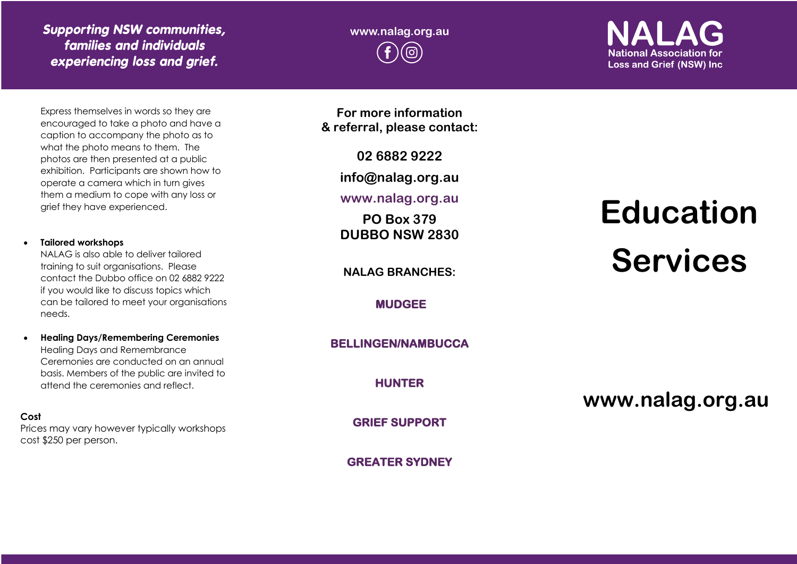### *Supporting NSW communities, families and individuals experiencing loss and grief.*

Express themselves in words so they are encouraged to take a photo and have a caption to accompany the photo as to what the photo means to them. The photos are then presented at a public exhibition. Participants are shown how to operate a camera which in turn gives them a medium to cope with any loss or grief they have experienced.

#### • **Tailored workshops**

NALAG is also able to deliver tailored training to suit organisations. Please contact the Dubbo office on 02 6882 9222 if you would like to discuss topics which can be tailored to meet your organisations needs.

• **Healing Days/Remembering Ceremonies**  Healing Days and Remembrance Ceremonies are conducted on an annual basis. Members of the public are invited to attend the ceremonies and reflect.

**Cost** Prices may vary however typically workshops cost \$250 per person.

**For more information & referral, please contact:**

**02 6882 9222**

**info@nalag.org.au**

**www.nalag.org.au**

**PO Box 379 DUBBO NSW 2830**

**NALAG BRANCHES:**

**MUDGEE** 

**BELLINGEN/NAMBUCCA** 

**HUNTER** 

**GRIEF SUPPORT** 

**GREATER SYDNEY**

# **Education Services**

**www.nalag.org.au**

**National Association for Loss and Grief (NSW) Inc.** 

**www.nalag.org.au**